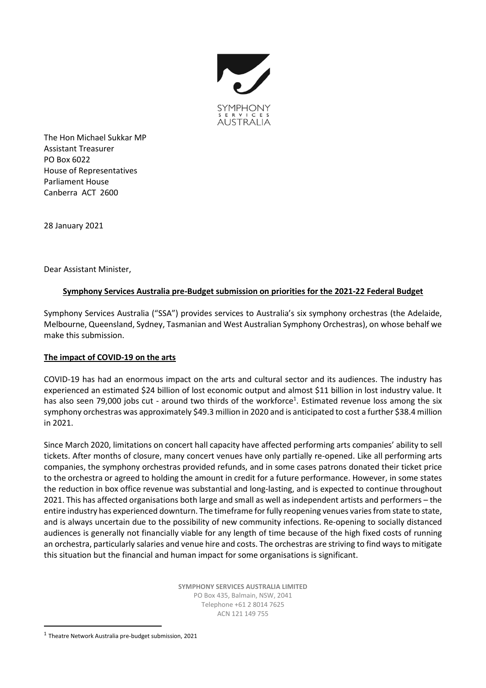

The Hon Michael Sukkar MP Assistant Treasurer PO Box 6022 House of Representatives Parliament House Canberra ACT 2600

28 January 2021

Dear Assistant Minister,

## **Symphony Services Australia pre-Budget submission on priorities for the 2021-22 Federal Budget**

Symphony Services Australia ("SSA") provides services to Australia's six symphony orchestras (the Adelaide, Melbourne, Queensland, Sydney, Tasmanian and West Australian Symphony Orchestras), on whose behalf we make this submission.

# **The impact of COVID-19 on the arts**

COVID-19 has had an enormous impact on the arts and cultural sector and its audiences. The industry has experienced an estimated \$24 billion of lost economic output and almost \$11 billion in lost industry value. It has also seen 79,000 jobs cut - around two thirds of the workforce<sup>1</sup>. Estimated revenue loss among the six symphony orchestras was approximately \$49.3 million in 2020 and is anticipated to cost a further \$38.4 million in 2021.

Since March 2020, limitations on concert hall capacity have affected performing arts companies' ability to sell tickets. After months of closure, many concert venues have only partially re-opened. Like all performing arts companies, the symphony orchestras provided refunds, and in some cases patrons donated their ticket price to the orchestra or agreed to holding the amount in credit for a future performance. However, in some states the reduction in box office revenue was substantial and long-lasting, and is expected to continue throughout 2021. This has affected organisations both large and small as well as independent artists and performers – the entire industry has experienced downturn. The timeframe for fully reopening venues variesfrom state to state, and is always uncertain due to the possibility of new community infections. Re-opening to socially distanced audiences is generally not financially viable for any length of time because of the high fixed costs of running an orchestra, particularly salaries and venue hire and costs. The orchestras are striving to find ways to mitigate this situation but the financial and human impact for some organisations is significant.

> **SYMPHONY SERVICES AUSTRALIA LIMITED** PO Box 435, Balmain, NSW, 2041 Telephone +61 2 8014 7625 ACN 121 149 755

<sup>&</sup>lt;sup>1</sup> Theatre Network Australia pre-budget submission, 2021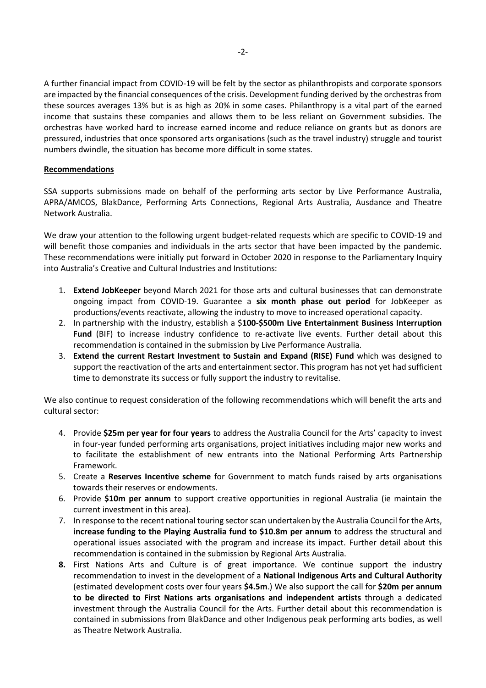A further financial impact from COVID-19 will be felt by the sector as philanthropists and corporate sponsors are impacted by the financial consequences of the crisis. Development funding derived by the orchestras from these sources averages 13% but is as high as 20% in some cases. Philanthropy is a vital part of the earned income that sustains these companies and allows them to be less reliant on Government subsidies. The orchestras have worked hard to increase earned income and reduce reliance on grants but as donors are pressured, industries that once sponsored arts organisations (such as the travel industry) struggle and tourist numbers dwindle, the situation has become more difficult in some states.

#### **Recommendations**

SSA supports submissions made on behalf of the performing arts sector by Live Performance Australia, APRA/AMCOS, BlakDance, Performing Arts Connections, Regional Arts Australia, Ausdance and Theatre Network Australia.

We draw your attention to the following urgent budget-related requests which are specific to COVID-19 and will benefit those companies and individuals in the arts sector that have been impacted by the pandemic. These recommendations were initially put forward in October 2020 in response to the Parliamentary Inquiry into Australia's Creative and Cultural Industries and Institutions:

- 1. **Extend JobKeeper** beyond March 2021 for those arts and cultural businesses that can demonstrate ongoing impact from COVID-19. Guarantee a **six month phase out period** for JobKeeper as productions/events reactivate, allowing the industry to move to increased operational capacity.
- 2. In partnership with the industry, establish a \$**100-\$500m Live Entertainment Business Interruption Fund** (BIF) to increase industry confidence to re-activate live events. Further detail about this recommendation is contained in the submission by Live Performance Australia.
- 3. **Extend the current Restart Investment to Sustain and Expand (RISE) Fund** which was designed to support the reactivation of the arts and entertainment sector. This program has not yet had sufficient time to demonstrate its success or fully support the industry to revitalise.

We also continue to request consideration of the following recommendations which will benefit the arts and cultural sector:

- 4. Provide **\$25m per year for four years** to address the Australia Council for the Arts' capacity to invest in four-year funded performing arts organisations, project initiatives including major new works and to facilitate the establishment of new entrants into the National Performing Arts Partnership Framework.
- 5. Create a **Reserves Incentive scheme** for Government to match funds raised by arts organisations towards their reserves or endowments.
- 6. Provide **\$10m per annum** to support creative opportunities in regional Australia (ie maintain the current investment in this area).
- 7. In response to the recent national touring sector scan undertaken by the Australia Council for the Arts, **increase funding to the Playing Australia fund to \$10.8m per annum** to address the structural and operational issues associated with the program and increase its impact. Further detail about this recommendation is contained in the submission by Regional Arts Australia.
- **8.** First Nations Arts and Culture is of great importance. We continue support the industry recommendation to invest in the development of a **National Indigenous Arts and Cultural Authority** (estimated development costs over four years **\$4.5m**.) We also support the call for **\$20m per annum to be directed to First Nations arts organisations and independent artists** through a dedicated investment through the Australia Council for the Arts. Further detail about this recommendation is contained in submissions from BlakDance and other Indigenous peak performing arts bodies, as well as Theatre Network Australia.